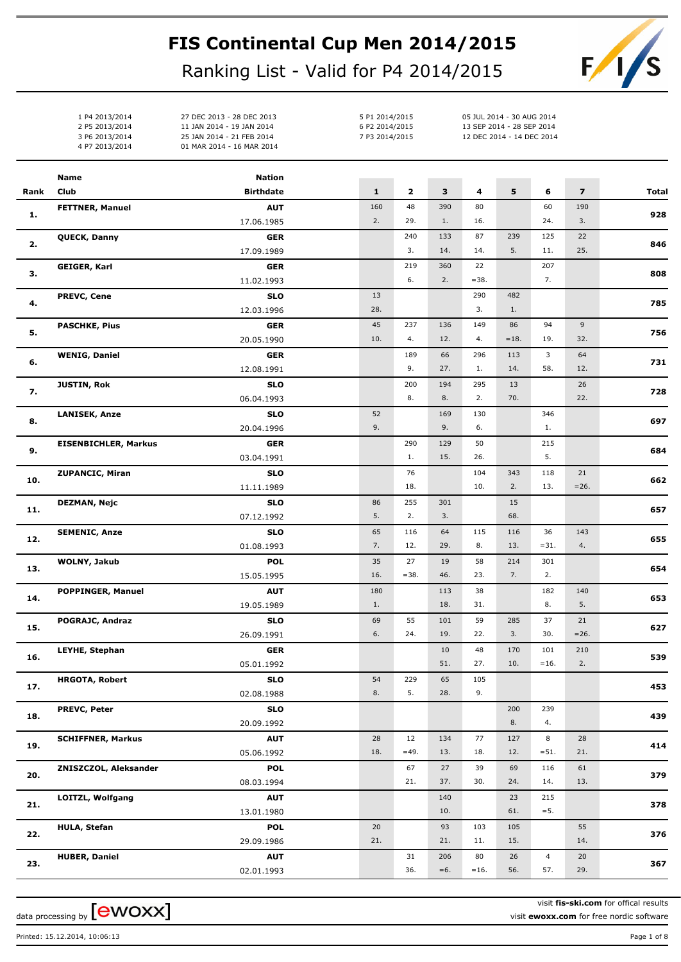## **FIS Continental Cup Men 2014/2015**

Ranking List - Valid for P4 2014/2015



1 P4 2013/2014 27 DEC 2013 - 28 DEC 2013 2 P5 2013/2014 11 JAN 2014 - 19 JAN 2014 3 P6 2013/2014 25 JAN 2014 - 21 FEB 2014 4 P7 2013/2014 01 MAR 2014 - 16 MAR 2014

5 P1 2014/2015 05 JUL 2014 - 30 AUG 2014 6 P2 2014/2015 13 SEP 2014 - 28 SEP 2014 7 P3 2014/2015 12 DEC 2014 - 14 DEC 2014

|      | Name                        | <b>Nation</b>            |              |              |       |           |            |                |                         |              |
|------|-----------------------------|--------------------------|--------------|--------------|-------|-----------|------------|----------------|-------------------------|--------------|
| Rank | Club                        | <b>Birthdate</b>         | $\mathbf{1}$ | $\mathbf{2}$ | 3     | 4         | 5          | 6              | $\overline{\mathbf{z}}$ | <b>Total</b> |
|      | <b>FETTNER, Manuel</b>      | <b>AUT</b>               | 160          | 48           | 390   | 80        |            | 60             | 190                     |              |
| 1.   |                             | 17.06.1985               | 2.           | 29.          | 1.    | 16.       |            | 24.            | 3.                      | 928          |
|      | QUECK, Danny                | <b>GER</b>               |              | 240          | 133   | 87        | 239        | 125            | 22                      |              |
| 2.   |                             | 17.09.1989               |              | 3.           | 14.   | 14.       | 5.         | 11.            | 25.                     | 846          |
|      | <b>GEIGER, Karl</b>         | <b>GER</b>               |              | 219          | 360   | 22        |            | 207            |                         |              |
| З.   |                             | 11.02.1993               |              | 6.           | 2.    | $=38.$    |            | 7.             |                         | 808          |
|      | <b>PREVC, Cene</b>          | <b>SLO</b>               | 13           |              |       | 290       | 482        |                |                         |              |
| 4.   |                             | 12.03.1996               | 28.          |              |       | 3.        | 1.         |                |                         | 785          |
|      | <b>PASCHKE, Pius</b>        | <b>GER</b>               | 45           | 237          | 136   | 149       | 86         | 94             | 9                       |              |
| 5.   |                             | 20.05.1990               | 10.          | 4.           | 12.   | 4.        | $=18.$     | 19.            | 32.                     | 756          |
|      | <b>WENIG, Daniel</b>        | <b>GER</b>               |              | 189          | 66    | 296       | 113        | 3              | 64                      |              |
| 6.   |                             | 12.08.1991               |              | 9.           | 27.   | 1.        | 14.        | 58.            | 12.                     | 731          |
|      | <b>JUSTIN, Rok</b>          | <b>SLO</b>               |              | 200          | 194   | 295       | 13         |                | 26                      |              |
| 7.   |                             | 06.04.1993               |              | 8.           | 8.    | 2.        | 70.        |                | 22.                     | 728          |
|      | <b>LANISEK, Anze</b>        | <b>SLO</b>               | 52           |              | 169   | 130       |            | 346            |                         |              |
| 8.   |                             | 20.04.1996               | 9.           |              | 9.    | 6.        |            | 1.             |                         | 697          |
|      | <b>EISENBICHLER, Markus</b> | <b>GER</b>               |              | 290          | 129   | 50        |            | 215            |                         |              |
| 9.   |                             | 03.04.1991               |              | 1.           | 15.   | 26.       |            | 5.             |                         | 684          |
|      | <b>ZUPANCIC, Miran</b>      | <b>SLO</b>               |              | 76           |       | 104       | 343        | 118            | 21                      |              |
| 10.  |                             | 11.11.1989               |              | 18.          |       | 10.       | 2.         | 13.            | $=26.$                  | 662          |
|      |                             |                          | 86           | 255          | 301   |           | 15         |                |                         |              |
| 11.  | DEZMAN, Nejc                | <b>SLO</b><br>07.12.1992 | 5.           | 2.           | 3.    |           | 68.        |                |                         | 657          |
|      |                             |                          | 65           |              | 64    |           |            | 36             |                         |              |
| 12.  | <b>SEMENIC, Anze</b>        | <b>SLO</b>               | 7.           | 116<br>12.   | 29.   | 115<br>8. | 116<br>13. | $= 31.$        | 143<br>4.               | 655          |
|      |                             | 01.08.1993               |              |              |       |           |            |                |                         |              |
| 13.  | WOLNY, Jakub                | <b>POL</b>               | 35           | 27           | 19    | 58        | 214<br>7.  | 301            |                         | 654          |
|      |                             | 15.05.1995               | 16.          | $= 38.$      | 46.   | 23.       |            | 2.             |                         |              |
| 14.  | <b>POPPINGER, Manuel</b>    | <b>AUT</b>               | 180          |              | 113   | 38        |            | 182            | 140                     | 653          |
|      |                             | 19.05.1989               | 1.           |              | 18.   | 31.       |            | 8.             | 5.                      |              |
| 15.  | POGRAJC, Andraz             | <b>SLO</b>               | 69           | 55           | 101   | 59        | 285        | 37             | 21                      | 627          |
|      |                             | 26.09.1991               | 6.           | 24.          | 19.   | 22.       | 3.         | 30.            | $= 26.$                 |              |
| 16.  | LEYHE, Stephan              | <b>GER</b>               |              |              | 10    | 48        | 170        | 101            | 210                     | 539          |
|      |                             | 05.01.1992               |              |              | 51.   | 27.       | 10.        | $=16.$         | 2.                      |              |
| 17.  | <b>HRGOTA, Robert</b>       | <b>SLO</b>               | 54           | 229          | 65    | 105       |            |                |                         | 453          |
|      |                             | 02.08.1988               | 8.           | 5.           | 28.   | 9.        |            |                |                         |              |
| 18.  | <b>PREVC, Peter</b>         | <b>SLO</b>               |              |              |       |           | 200        | 239            |                         | 439          |
|      |                             | 20.09.1992               |              |              |       |           | 8.         | 4.             |                         |              |
| 19.  | <b>SCHIFFNER, Markus</b>    | <b>AUT</b>               | 28           | 12           | 134   | 77        | 127        | 8              | 28                      | 414          |
|      |                             | 05.06.1992               | 18.          | $=49.$       | 13.   | 18.       | 12.        | $= 51.$        | 21.                     |              |
| 20.  | ZNISZCZOL, Aleksander       | <b>POL</b>               |              | 67           | 27    | 39        | 69         | 116            | 61                      | 379          |
|      |                             | 08.03.1994               |              | 21.          | 37.   | 30.       | 24.        | 14.            | 13.                     |              |
|      | LOITZL, Wolfgang            | <b>AUT</b>               |              |              | 140   |           | 23         | 215            |                         |              |
| 21.  |                             | 13.01.1980               |              |              | 10.   |           | 61.        | $=$ 5.         |                         | 378          |
|      | <b>HULA, Stefan</b>         | <b>POL</b>               | 20           |              | 93    | 103       | 105        |                | 55                      |              |
| 22.  |                             | 29.09.1986               | 21.          |              | 21.   | 11.       | 15.        |                | 14.                     | 376          |
|      | <b>HUBER, Daniel</b>        | <b>AUT</b>               |              | 31           | 206   | 80        | 26         | $\overline{4}$ | 20                      |              |
| 23.  |                             | 02.01.1993               |              | 36.          | $=6.$ | $=16.$    | 56.        | 57.            | 29.                     | 367          |
|      |                             |                          |              |              |       |           |            |                |                         |              |

data processing by  ${\rm [ewoxx]}$ 

visit **fis-ski.com** for offical results visit **ewoxx.com** for free nordic software

Printed: 15.12.2014, 10:06:13 Page 1 of 8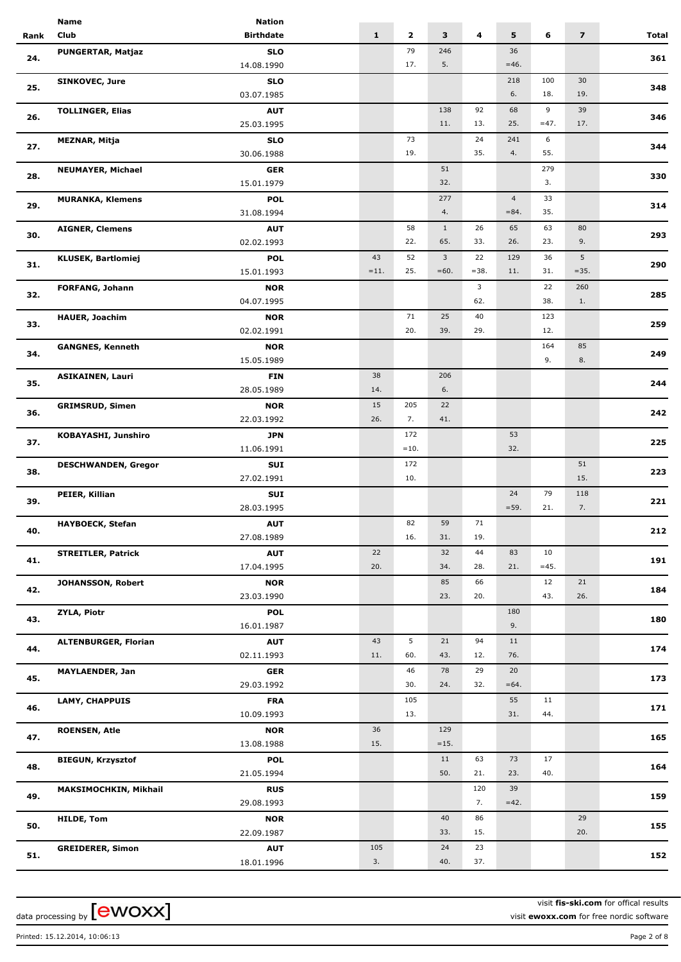|      | Name                        | <b>Nation</b>    |              |              |                         |        |                |        |                         |       |
|------|-----------------------------|------------------|--------------|--------------|-------------------------|--------|----------------|--------|-------------------------|-------|
| Rank | Club                        | <b>Birthdate</b> | $\mathbf{1}$ | $\mathbf{2}$ | $\overline{\mathbf{3}}$ | 4      | 5              | 6      | $\overline{\mathbf{z}}$ | Total |
|      | PUNGERTAR, Matjaz           | <b>SLO</b>       |              | 79           | 246                     |        | 36             |        |                         |       |
| 24.  |                             | 14.08.1990       |              | 17.          | 5.                      |        | $=46.$         |        |                         | 361   |
|      |                             |                  |              |              |                         |        |                |        |                         |       |
| 25.  | <b>SINKOVEC, Jure</b>       | <b>SLO</b>       |              |              |                         |        | 218            | 100    | 30                      | 348   |
|      |                             | 03.07.1985       |              |              |                         |        | 6.             | 18.    | 19.                     |       |
| 26.  | <b>TOLLINGER, Elias</b>     | <b>AUT</b>       |              |              | 138                     | 92     | 68             | 9      | 39                      | 346   |
|      |                             | 25.03.1995       |              |              | 11.                     | 13.    | 25.            | $=47.$ | 17.                     |       |
|      | <b>MEZNAR, Mitja</b>        | <b>SLO</b>       |              | 73           |                         | 24     | 241            | 6      |                         |       |
| 27.  |                             | 30.06.1988       |              | 19.          |                         | 35.    | 4.             | 55.    |                         | 344   |
|      | <b>NEUMAYER, Michael</b>    | <b>GER</b>       |              |              | 51                      |        |                | 279    |                         |       |
| 28.  |                             | 15.01.1979       |              |              | 32.                     |        |                | 3.     |                         | 330   |
|      | <b>MURANKA, Klemens</b>     | <b>POL</b>       |              |              | 277                     |        | $\overline{4}$ | 33     |                         |       |
| 29.  |                             |                  |              |              | 4.                      |        | $= 84.$        | 35.    |                         | 314   |
|      |                             | 31.08.1994       |              |              |                         |        |                |        |                         |       |
| 30.  | <b>AIGNER, Clemens</b>      | <b>AUT</b>       |              | 58           | 1                       | 26     | 65             | 63     | 80                      | 293   |
|      |                             | 02.02.1993       |              | 22.          | 65.                     | 33.    | 26.            | 23.    | 9.                      |       |
| 31.  | <b>KLUSEK, Bartlomiej</b>   | <b>POL</b>       | 43           | 52           | $\mathbf{3}$            | 22     | 129            | 36     | 5                       | 290   |
|      |                             | 15.01.1993       | $=11.$       | 25.          | $=60.$                  | $=38.$ | 11.            | 31.    | $=35.$                  |       |
|      | <b>FORFANG, Johann</b>      | <b>NOR</b>       |              |              |                         | 3      |                | 22     | 260                     |       |
| 32.  |                             | 04.07.1995       |              |              |                         | 62.    |                | 38.    | 1.                      | 285   |
|      | <b>HAUER, Joachim</b>       | <b>NOR</b>       |              | 71           | 25                      | 40     |                | 123    |                         |       |
| 33.  |                             | 02.02.1991       |              | 20.          | 39.                     | 29.    |                | 12.    |                         | 259   |
|      |                             |                  |              |              |                         |        |                | 164    | 85                      |       |
| 34.  | <b>GANGNES, Kenneth</b>     | <b>NOR</b>       |              |              |                         |        |                |        |                         | 249   |
|      |                             | 15.05.1989       |              |              |                         |        |                | 9.     | 8.                      |       |
| 35.  | <b>ASIKAINEN, Lauri</b>     | <b>FIN</b>       | 38           |              | 206                     |        |                |        |                         | 244   |
|      |                             | 28.05.1989       | 14.          |              | 6.                      |        |                |        |                         |       |
| 36.  | <b>GRIMSRUD, Simen</b>      | <b>NOR</b>       | 15           | 205          | 22                      |        |                |        |                         | 242   |
|      |                             | 22.03.1992       | 26.          | 7.           | 41.                     |        |                |        |                         |       |
|      | KOBAYASHI, Junshiro         | <b>JPN</b>       |              | 172          |                         |        | 53             |        |                         |       |
| 37.  |                             | 11.06.1991       |              | $=10.$       |                         |        | 32.            |        |                         | 225   |
|      | <b>DESCHWANDEN, Gregor</b>  | SUI              |              | 172          |                         |        |                |        | 51                      |       |
| 38.  |                             | 27.02.1991       |              | 10.          |                         |        |                |        | 15.                     | 223   |
|      |                             |                  |              |              |                         |        |                | 79     |                         |       |
| 39.  | PEIER, Killian              | SUI              |              |              |                         |        | 24             |        | 118                     | 221   |
|      |                             | 28.03.1995       |              |              |                         |        | $= 59.$        | 21.    | 7.                      |       |
| 40.  | <b>HAYBOECK, Stefan</b>     | <b>AUT</b>       |              | 82           | 59                      | 71     |                |        |                         | 212   |
|      |                             | 27.08.1989       |              | 16.          | 31.                     | 19.    |                |        |                         |       |
| 41.  | <b>STREITLER, Patrick</b>   | <b>AUT</b>       | 22           |              | 32                      | 44     | 83             | 10     |                         | 191   |
|      |                             | 17.04.1995       | 20.          |              | 34.                     | 28.    | 21.            | $=45.$ |                         |       |
|      | JOHANSSON, Robert           | <b>NOR</b>       |              |              | 85                      | 66     |                | 12     | 21                      |       |
| 42.  |                             | 23.03.1990       |              |              | 23.                     | 20.    |                | 43.    | 26.                     | 184   |
|      | <b>ZYLA, Piotr</b>          | <b>POL</b>       |              |              |                         |        | 180            |        |                         |       |
| 43.  |                             | 16.01.1987       |              |              |                         |        | 9.             |        |                         | 180   |
|      |                             |                  | 43           | 5            | 21                      | 94     | 11             |        |                         |       |
| 44.  | <b>ALTENBURGER, Florian</b> | <b>AUT</b>       | 11.          | 60.          | 43.                     | 12.    | 76.            |        |                         | 174   |
|      |                             | 02.11.1993       |              |              |                         |        |                |        |                         |       |
| 45.  | <b>MAYLAENDER, Jan</b>      | <b>GER</b>       |              | 46           | 78                      | 29     | 20             |        |                         | 173   |
|      |                             | 29.03.1992       |              | 30.          | 24.                     | 32.    | $=64.$         |        |                         |       |
| 46.  | LAMY, CHAPPUIS              | <b>FRA</b>       |              | 105          |                         |        | 55             | 11     |                         | 171   |
|      |                             | 10.09.1993       |              | 13.          |                         |        | 31.            | 44.    |                         |       |
|      | <b>ROENSEN, Atle</b>        | <b>NOR</b>       | 36           |              | 129                     |        |                |        |                         |       |
| 47.  |                             | 13.08.1988       | 15.          |              | $=15.$                  |        |                |        |                         | 165   |
|      | <b>BIEGUN, Krzysztof</b>    | <b>POL</b>       |              |              | 11                      | 63     | 73             | 17     |                         |       |
| 48.  |                             | 21.05.1994       |              |              | 50.                     | 21.    | 23.            | 40.    |                         | 164   |
|      |                             |                  |              |              |                         |        |                |        |                         |       |
| 49.  | MAKSIMOCHKIN, Mikhail       | <b>RUS</b>       |              |              |                         | 120    | 39             |        |                         | 159   |
|      |                             | 29.08.1993       |              |              |                         | 7.     | $=42.$         |        |                         |       |
| 50.  | <b>HILDE, Tom</b>           | <b>NOR</b>       |              |              | 40                      | 86     |                |        | 29                      | 155   |
|      |                             | 22.09.1987       |              |              | 33.                     | 15.    |                |        | 20.                     |       |
|      | <b>GREIDERER, Simon</b>     | <b>AUT</b>       | 105          |              | 24                      | 23     |                |        |                         |       |
| 51.  |                             | 18.01.1996       | 3.           |              | 40.                     | 37.    |                |        |                         | 152   |
|      |                             |                  |              |              |                         |        |                |        |                         |       |

visit **fis-ski.com** for offical results visit **ewoxx.com** for free nordic software

Printed: 15.12.2014, 10:06:13 Page 2 of 8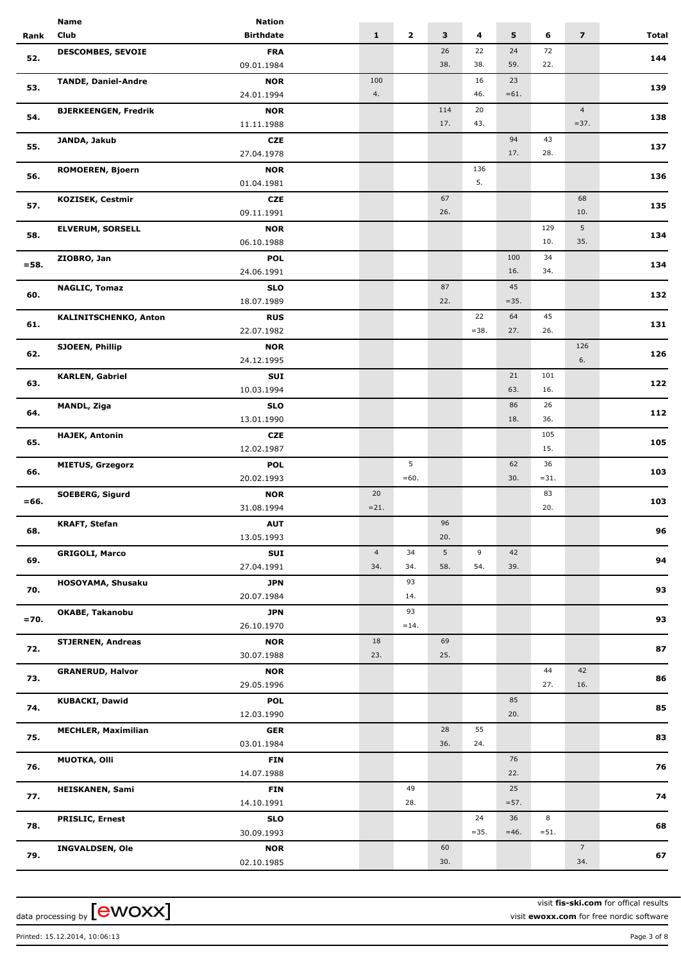|         | Name                         | <b>Nation</b>    |                |              |     |        |         |         |                         |       |
|---------|------------------------------|------------------|----------------|--------------|-----|--------|---------|---------|-------------------------|-------|
| Rank    | Club                         | <b>Birthdate</b> | $\mathbf{1}$   | $\mathbf{2}$ | 3   | 4      | 5       | 6       | $\overline{\mathbf{z}}$ | Total |
|         | <b>DESCOMBES, SEVOIE</b>     | <b>FRA</b>       |                |              | 26  | 22     | 24      | 72      |                         |       |
| 52.     |                              | 09.01.1984       |                |              | 38. | 38.    | 59.     | 22.     |                         | 144   |
|         |                              |                  |                |              |     |        |         |         |                         |       |
| 53.     | <b>TANDE, Daniel-Andre</b>   | <b>NOR</b>       | 100            |              |     | 16     | 23      |         |                         | 139   |
|         |                              | 24.01.1994       | 4.             |              |     | 46.    | $=61.$  |         |                         |       |
| 54.     | <b>BJERKEENGEN, Fredrik</b>  | <b>NOR</b>       |                |              | 114 | 20     |         |         | $\overline{4}$          | 138   |
|         |                              | 11.11.1988       |                |              | 17. | 43.    |         |         | $=37.$                  |       |
| 55.     | JANDA, Jakub                 | <b>CZE</b>       |                |              |     |        | 94      | 43      |                         | 137   |
|         |                              | 27.04.1978       |                |              |     |        | 17.     | 28.     |                         |       |
|         | ROMOEREN, Bjoern             | <b>NOR</b>       |                |              |     | 136    |         |         |                         |       |
| 56.     |                              | 01.04.1981       |                |              |     | 5.     |         |         |                         | 136   |
|         | <b>KOZISEK, Cestmir</b>      | <b>CZE</b>       |                |              | 67  |        |         |         | 68                      |       |
| 57.     |                              | 09.11.1991       |                |              | 26. |        |         |         | 10.                     | 135   |
|         | <b>ELVERUM, SORSELL</b>      | <b>NOR</b>       |                |              |     |        |         | 129     | 5                       |       |
| 58.     |                              | 06.10.1988       |                |              |     |        |         | 10.     | 35.                     | 134   |
|         |                              | <b>POL</b>       |                |              |     |        | 100     | 34      |                         |       |
| $= 58.$ | ZIOBRO, Jan                  |                  |                |              |     |        | 16.     | 34.     |                         | 134   |
|         |                              | 24.06.1991       |                |              |     |        |         |         |                         |       |
| 60.     | <b>NAGLIC, Tomaz</b>         | <b>SLO</b>       |                |              | 87  |        | 45      |         |                         | 132   |
|         |                              | 18.07.1989       |                |              | 22. |        | $=35.$  |         |                         |       |
| 61.     | <b>KALINITSCHENKO, Anton</b> | <b>RUS</b>       |                |              |     | 22     | 64      | 45      |                         | 131   |
|         |                              | 22.07.1982       |                |              |     | $=38.$ | 27.     | 26.     |                         |       |
|         | SJOEEN, Phillip              | <b>NOR</b>       |                |              |     |        |         |         | 126                     |       |
| 62.     |                              | 24.12.1995       |                |              |     |        |         |         | 6.                      | 126   |
|         | <b>KARLEN, Gabriel</b>       | SUI              |                |              |     |        | 21      | 101     |                         |       |
| 63.     |                              | 10.03.1994       |                |              |     |        | 63.     | 16.     |                         | 122   |
|         | MANDL, Ziga                  | <b>SLO</b>       |                |              |     |        | 86      | 26      |                         |       |
| 64.     |                              | 13.01.1990       |                |              |     |        | 18.     | 36.     |                         | 112   |
|         |                              |                  |                |              |     |        |         |         |                         |       |
| 65.     | <b>HAJEK, Antonin</b>        | <b>CZE</b>       |                |              |     |        |         | 105     |                         | 105   |
|         |                              | 12.02.1987       |                |              |     |        |         | 15.     |                         |       |
| 66.     | <b>MIETUS, Grzegorz</b>      | <b>POL</b>       |                | 5            |     |        | 62      | 36      |                         | 103   |
|         |                              | 20.02.1993       |                | $=60.$       |     |        | 30.     | $= 31.$ |                         |       |
| $= 66.$ | <b>SOEBERG, Sigurd</b>       | <b>NOR</b>       | 20             |              |     |        |         | 83      |                         | 103   |
|         |                              | 31.08.1994       | $= 21.$        |              |     |        |         | 20.     |                         |       |
|         | <b>KRAFT, Stefan</b>         | <b>AUT</b>       |                |              | 96  |        |         |         |                         |       |
| 68.     |                              | 13.05.1993       |                |              | 20. |        |         |         |                         | 96    |
|         | <b>GRIGOLI, Marco</b>        | <b>SUI</b>       | $\overline{4}$ | 34           | 5   | 9      | 42      |         |                         |       |
| 69.     |                              | 27.04.1991       | 34.            | 34.          | 58. | 54.    | 39.     |         |                         | 94    |
|         | HOSOYAMA, Shusaku            | <b>JPN</b>       |                | 93           |     |        |         |         |                         |       |
| 70.     |                              | 20.07.1984       |                | 14.          |     |        |         |         |                         | 93    |
|         |                              |                  |                |              |     |        |         |         |                         |       |
| $= 70.$ | OKABE, Takanobu              | <b>JPN</b>       |                | 93           |     |        |         |         |                         | 93    |
|         |                              | 26.10.1970       |                | $=14.$       |     |        |         |         |                         |       |
| 72.     | <b>STJERNEN, Andreas</b>     | <b>NOR</b>       | 18             |              | 69  |        |         |         |                         | 87    |
|         |                              | 30.07.1988       | 23.            |              | 25. |        |         |         |                         |       |
| 73.     | <b>GRANERUD, Halvor</b>      | <b>NOR</b>       |                |              |     |        |         | 44      | 42                      | 86    |
|         |                              | 29.05.1996       |                |              |     |        |         | 27.     | 16.                     |       |
|         | <b>KUBACKI, Dawid</b>        | <b>POL</b>       |                |              |     |        | 85      |         |                         |       |
| 74.     |                              | 12.03.1990       |                |              |     |        | 20.     |         |                         | 85    |
|         | <b>MECHLER, Maximilian</b>   | <b>GER</b>       |                |              | 28  | 55     |         |         |                         |       |
| 75.     |                              | 03.01.1984       |                |              | 36. | 24.    |         |         |                         | 83    |
|         | <b>MUOTKA, Olli</b>          | <b>FIN</b>       |                |              |     |        | 76      |         |                         |       |
| 76.     |                              |                  |                |              |     |        | 22.     |         |                         | 76    |
|         |                              | 14.07.1988       |                |              |     |        |         |         |                         |       |
| 77.     | <b>HEISKANEN, Sami</b>       | <b>FIN</b>       |                | 49           |     |        | 25      |         |                         | 74    |
|         |                              | 14.10.1991       |                | 28.          |     |        | $= 57.$ |         |                         |       |
| 78.     | <b>PRISLIC, Ernest</b>       | <b>SLO</b>       |                |              |     | 24     | 36      | 8       |                         | 68    |
|         |                              | 30.09.1993       |                |              |     | $=35.$ | $=46.$  | $= 51.$ |                         |       |
|         | <b>INGVALDSEN, Ole</b>       | <b>NOR</b>       |                |              | 60  |        |         |         | $7\overline{ }$         |       |
| 79.     |                              | 02.10.1985       |                |              | 30. |        |         |         | 34.                     | 67    |
|         |                              |                  |                |              |     |        |         |         |                         |       |

visit **fis-ski.com** for offical results visit **ewoxx.com** for free nordic software

Printed: 15.12.2014, 10:06:13 Page 3 of 8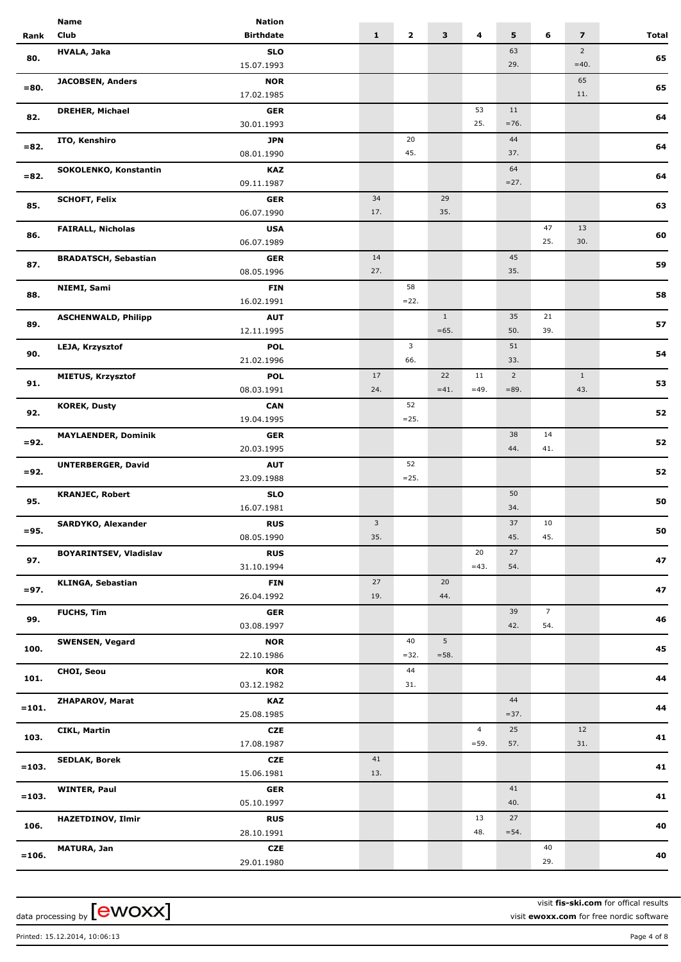|          | <b>Name</b>                   | <b>Nation</b>            |              |              |                         |                |                |                |                         |              |
|----------|-------------------------------|--------------------------|--------------|--------------|-------------------------|----------------|----------------|----------------|-------------------------|--------------|
| Rank     | Club                          | <b>Birthdate</b>         | $\mathbf{1}$ | $\mathbf{2}$ | $\overline{\mathbf{3}}$ | 4              | 5              | 6              | $\overline{\mathbf{z}}$ | <b>Total</b> |
|          | HVALA, Jaka                   | <b>SLO</b>               |              |              |                         |                | 63             |                | $\overline{2}$          |              |
| 80.      |                               | 15.07.1993               |              |              |                         |                | 29.            |                | $=40.$                  | 65           |
|          | <b>JACOBSEN, Anders</b>       | <b>NOR</b>               |              |              |                         |                |                |                | 65                      |              |
| $= 80.$  |                               | 17.02.1985               |              |              |                         |                |                |                | 11.                     | 65           |
|          |                               |                          |              |              |                         | 53             | 11             |                |                         |              |
| 82.      | <b>DREHER, Michael</b>        | <b>GER</b>               |              |              |                         | 25.            | $=76.$         |                |                         | 64           |
|          |                               | 30.01.1993               |              |              |                         |                |                |                |                         |              |
| $= 82.$  | ITO, Kenshiro                 | <b>JPN</b>               |              | 20           |                         |                | 44             |                |                         | 64           |
|          |                               | 08.01.1990               |              | 45.          |                         |                | 37.            |                |                         |              |
| $= 82.$  | SOKOLENKO, Konstantin         | <b>KAZ</b>               |              |              |                         |                | 64             |                |                         | 64           |
|          |                               | 09.11.1987               |              |              |                         |                | $=27.$         |                |                         |              |
| 85.      | <b>SCHOFT, Felix</b>          | <b>GER</b>               | 34           |              | 29                      |                |                |                |                         | 63           |
|          |                               | 06.07.1990               | 17.          |              | 35.                     |                |                |                |                         |              |
|          | <b>FAIRALL, Nicholas</b>      | <b>USA</b>               |              |              |                         |                |                | 47             | 13                      |              |
| 86.      |                               | 06.07.1989               |              |              |                         |                |                | 25.            | 30.                     | 60           |
|          | <b>BRADATSCH, Sebastian</b>   | <b>GER</b>               | 14           |              |                         |                | 45             |                |                         |              |
| 87.      |                               | 08.05.1996               | 27.          |              |                         |                | 35.            |                |                         | 59           |
|          | NIEMI, Sami                   | <b>FIN</b>               |              | 58           |                         |                |                |                |                         |              |
| 88.      |                               | 16.02.1991               |              | $=22.$       |                         |                |                |                |                         | 58           |
|          | <b>ASCHENWALD, Philipp</b>    |                          |              |              | $1\,$                   |                | 35             | 21             |                         |              |
| 89.      |                               | <b>AUT</b><br>12.11.1995 |              |              | $=65.$                  |                | 50.            | 39.            |                         | 57           |
|          |                               |                          |              |              |                         |                |                |                |                         |              |
| 90.      | LEJA, Krzysztof               | <b>POL</b>               |              | 3            |                         |                | 51             |                |                         | 54           |
|          |                               | 21.02.1996               |              | 66.          |                         |                | 33.            |                |                         |              |
| 91.      | <b>MIETUS, Krzysztof</b>      | <b>POL</b>               | 17           |              | 22                      | 11             | $\overline{2}$ |                | $\mathbf{1}$            | 53           |
|          |                               | 08.03.1991               | 24.          |              | $=41.$                  | $=49.$         | $= 89.$        |                | 43.                     |              |
| 92.      | <b>KOREK, Dusty</b>           | <b>CAN</b>               |              | 52           |                         |                |                |                |                         | 52           |
|          |                               | 19.04.1995               |              | $= 25.$      |                         |                |                |                |                         |              |
|          | <b>MAYLAENDER, Dominik</b>    | <b>GER</b>               |              |              |                         |                | 38             | 14             |                         |              |
| $= 92.$  |                               | 20.03.1995               |              |              |                         |                | 44.            | 41.            |                         | 52           |
|          | <b>UNTERBERGER, David</b>     | <b>AUT</b>               |              | 52           |                         |                |                |                |                         |              |
| $= 92.$  |                               | 23.09.1988               |              | $= 25.$      |                         |                |                |                |                         | 52           |
|          | <b>KRANJEC, Robert</b>        | <b>SLO</b>               |              |              |                         |                | 50             |                |                         |              |
| 95.      |                               | 16.07.1981               |              |              |                         |                | 34.            |                |                         | 50           |
|          | SARDYKO, Alexander            | <b>RUS</b>               | 3            |              |                         |                | 37             | 10             |                         |              |
| $= 95.$  |                               | 08.05.1990               | 35.          |              |                         |                | 45.            | 45.            |                         | 50           |
|          |                               | <b>RUS</b>               |              |              |                         | 20             | 27             |                |                         |              |
| 97.      | <b>BOYARINTSEV, Vladislav</b> | 31.10.1994               |              |              |                         | $=43.$         | 54.            |                |                         | 47           |
|          |                               |                          |              |              |                         |                |                |                |                         |              |
| $= 97.$  | <b>KLINGA, Sebastian</b>      | <b>FIN</b>               | 27           |              | 20                      |                |                |                |                         | 47           |
|          |                               | 26.04.1992               | 19.          |              | 44.                     |                |                |                |                         |              |
| 99.      | FUCHS, Tim                    | <b>GER</b>               |              |              |                         |                | 39             | $\overline{7}$ |                         | 46           |
|          |                               | 03.08.1997               |              |              |                         |                | 42.            | 54.            |                         |              |
| 100.     | <b>SWENSEN, Vegard</b>        | <b>NOR</b>               |              | 40           | 5                       |                |                |                |                         | 45           |
|          |                               | 22.10.1986               |              | $=32.$       | $=58.$                  |                |                |                |                         |              |
| 101.     | CHOI, Seou                    | <b>KOR</b>               |              | 44           |                         |                |                |                |                         | 44           |
|          |                               | 03.12.1982               |              | 31.          |                         |                |                |                |                         |              |
|          | ZHAPAROV, Marat               | KAZ                      |              |              |                         |                | 44             |                |                         |              |
| $=101.$  |                               | 25.08.1985               |              |              |                         |                | $=37.$         |                |                         | 44           |
|          | <b>CIKL, Martin</b>           | <b>CZE</b>               |              |              |                         | $\overline{4}$ | 25             |                | 12                      |              |
| 103.     |                               | 17.08.1987               |              |              |                         | $=59.$         | 57.            |                | 31.                     | 41           |
|          | <b>SEDLAK, Borek</b>          | <b>CZE</b>               | 41           |              |                         |                |                |                |                         |              |
| $= 103.$ |                               | 15.06.1981               | 13.          |              |                         |                |                |                |                         | 41           |
|          |                               |                          |              |              |                         |                | 41             |                |                         |              |
| $= 103.$ | <b>WINTER, Paul</b>           | GER                      |              |              |                         |                | 40.            |                |                         | 41           |
|          |                               | 05.10.1997               |              |              |                         |                |                |                |                         |              |
| 106.     | <b>HAZETDINOV, Ilmir</b>      | <b>RUS</b>               |              |              |                         | 13             | 27             |                |                         | 40           |
|          |                               | 28.10.1991               |              |              |                         | 48.            | $= 54.$        |                |                         |              |
| $= 106.$ | <b>MATURA, Jan</b>            | <b>CZE</b>               |              |              |                         |                |                | 40             |                         | 40           |
|          |                               | 29.01.1980               |              |              |                         |                |                | 29.            |                         |              |
|          |                               |                          |              |              |                         |                |                |                |                         |              |

visit **fis-ski.com** for offical results visit **ewoxx.com** for free nordic software

Printed: 15.12.2014, 10:06:13 Page 4 of 8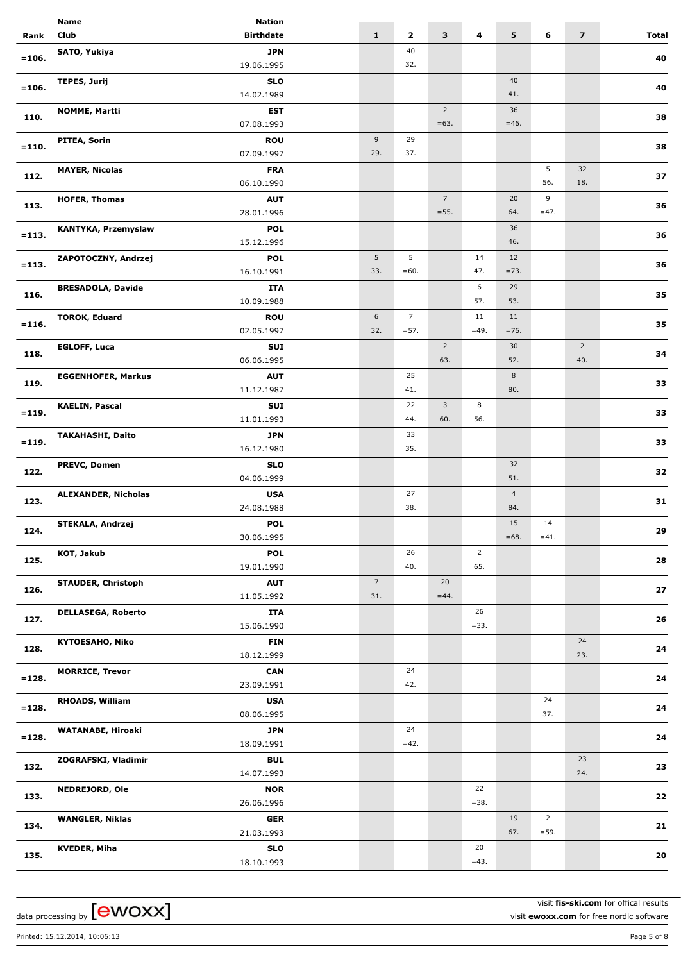|          | Name                       | <b>Nation</b>            |                |                |                 |                |                |                |                         |       |
|----------|----------------------------|--------------------------|----------------|----------------|-----------------|----------------|----------------|----------------|-------------------------|-------|
| Rank     | Club                       | <b>Birthdate</b>         | $\mathbf{1}$   | $\mathbf{2}$   | 3               | 4              | 5              | 6              | $\overline{\mathbf{z}}$ | Total |
|          | SATO, Yukiya               | <b>JPN</b>               |                | 40             |                 |                |                |                |                         |       |
| $= 106.$ |                            | 19.06.1995               |                | 32.            |                 |                |                |                |                         | 40    |
|          | <b>TEPES, Jurij</b>        | <b>SLO</b>               |                |                |                 |                | 40             |                |                         |       |
| $= 106.$ |                            | 14.02.1989               |                |                |                 |                | 41.            |                |                         | 40    |
|          | <b>NOMME, Martti</b>       | <b>EST</b>               |                |                | $\overline{2}$  |                | 36             |                |                         |       |
| 110.     |                            | 07.08.1993               |                |                | $=63.$          |                | $=46.$         |                |                         | 38    |
|          | PITEA, Sorin               |                          | 9              | 29             |                 |                |                |                |                         |       |
| $= 110.$ |                            | <b>ROU</b><br>07.09.1997 | 29.            | 37.            |                 |                |                |                |                         | 38    |
|          |                            |                          |                |                |                 |                |                | 5              | 32                      |       |
| 112.     | <b>MAYER, Nicolas</b>      | <b>FRA</b>               |                |                |                 |                |                | 56.            | 18.                     | 37    |
|          |                            | 06.10.1990               |                |                |                 |                |                |                |                         |       |
| 113.     | <b>HOFER, Thomas</b>       | <b>AUT</b>               |                |                | $7\overline{ }$ |                | 20             | 9              |                         | 36    |
|          |                            | 28.01.1996               |                |                | $= 55.$         |                | 64.            | $=47.$         |                         |       |
| $= 113.$ | KANTYKA, Przemyslaw        | POL                      |                |                |                 |                | 36             |                |                         | 36    |
|          |                            | 15.12.1996               |                |                |                 |                | 46.            |                |                         |       |
| $= 113.$ | ZAPOTOCZNY, Andrzej        | <b>POL</b>               | 5              | 5              |                 | 14             | 12             |                |                         | 36    |
|          |                            | 16.10.1991               | 33.            | $=60.$         |                 | 47.            | $=73.$         |                |                         |       |
| 116.     | <b>BRESADOLA, Davide</b>   | <b>ITA</b>               |                |                |                 | 6              | 29             |                |                         | 35    |
|          |                            | 10.09.1988               |                |                |                 | 57.            | 53.            |                |                         |       |
| $= 116.$ | <b>TOROK, Eduard</b>       | <b>ROU</b>               | 6              | $\overline{7}$ |                 | 11             | 11             |                |                         | 35    |
|          |                            | 02.05.1997               | 32.            | $= 57.$        |                 | $=49.$         | $=76.$         |                |                         |       |
| 118.     | <b>EGLOFF, Luca</b>        | SUI                      |                |                | $\overline{2}$  |                | 30             |                | $\overline{2}$          | 34    |
|          |                            | 06.06.1995               |                |                | 63.             |                | 52.            |                | 40.                     |       |
| 119.     | <b>EGGENHOFER, Markus</b>  | <b>AUT</b>               |                | 25             |                 |                | 8              |                |                         | 33    |
|          |                            | 11.12.1987               |                | 41.            |                 |                | 80.            |                |                         |       |
| $= 119.$ | <b>KAELIN, Pascal</b>      | SUI                      |                | 22             | $\mathbf{3}$    | 8              |                |                |                         | 33    |
|          |                            | 11.01.1993               |                | 44.            | 60.             | 56.            |                |                |                         |       |
| $= 119.$ | <b>TAKAHASHI, Daito</b>    | <b>JPN</b>               |                | 33             |                 |                |                |                |                         | 33    |
|          |                            | 16.12.1980               |                | 35.            |                 |                |                |                |                         |       |
| 122.     | PREVC, Domen               | <b>SLO</b>               |                |                |                 |                | 32             |                |                         | 32    |
|          |                            | 04.06.1999               |                |                |                 |                | 51.            |                |                         |       |
| 123.     | <b>ALEXANDER, Nicholas</b> | <b>USA</b>               |                | 27             |                 |                | $\overline{4}$ |                |                         | 31    |
|          |                            | 24.08.1988               |                | 38.            |                 |                | 84.            |                |                         |       |
| 124.     | <b>STEKALA, Andrzej</b>    | <b>POL</b>               |                |                |                 |                | 15             | 14             |                         | 29    |
|          |                            | 30.06.1995               |                |                |                 |                | $=68.$         | $=41.$         |                         |       |
|          | KOT, Jakub                 | <b>POL</b>               |                | 26             |                 | $\overline{2}$ |                |                |                         |       |
| 125.     |                            | 19.01.1990               |                | 40.            |                 | 65.            |                |                |                         | 28    |
|          | <b>STAUDER, Christoph</b>  | <b>AUT</b>               | $\overline{7}$ |                | 20              |                |                |                |                         |       |
| 126.     |                            | 11.05.1992               | 31.            |                | $=44.$          |                |                |                |                         | 27    |
|          | <b>DELLASEGA, Roberto</b>  | ITA                      |                |                |                 | 26             |                |                |                         |       |
| 127.     |                            | 15.06.1990               |                |                |                 | $= 33.$        |                |                |                         | 26    |
|          | <b>KYTOESAHO, Niko</b>     | <b>FIN</b>               |                |                |                 |                |                |                | 24                      |       |
| 128.     |                            | 18.12.1999               |                |                |                 |                |                |                | 23.                     | 24    |
|          | <b>MORRICE, Trevor</b>     | <b>CAN</b>               |                | 24             |                 |                |                |                |                         |       |
| $= 128.$ |                            | 23.09.1991               |                | 42.            |                 |                |                |                |                         | 24    |
|          | RHOADS, William            | <b>USA</b>               |                |                |                 |                |                | 24             |                         |       |
| $= 128.$ |                            | 08.06.1995               |                |                |                 |                |                | 37.            |                         | 24    |
|          | <b>WATANABE, Hiroaki</b>   | <b>JPN</b>               |                | 24             |                 |                |                |                |                         |       |
| $=128.$  |                            | 18.09.1991               |                | $=42.$         |                 |                |                |                |                         | 24    |
|          | ZOGRAFSKI, Vladimir        | <b>BUL</b>               |                |                |                 |                |                |                | 23                      |       |
| 132.     |                            | 14.07.1993               |                |                |                 |                |                |                | 24.                     | 23    |
|          | <b>NEDREJORD, Ole</b>      | <b>NOR</b>               |                |                |                 | 22             |                |                |                         |       |
| 133.     |                            | 26.06.1996               |                |                |                 | $=38.$         |                |                |                         | 22    |
|          | <b>WANGLER, Niklas</b>     | <b>GER</b>               |                |                |                 |                | 19             | $\overline{2}$ |                         |       |
| 134.     |                            | 21.03.1993               |                |                |                 |                | 67.            | $= 59.$        |                         | 21    |
|          | <b>KVEDER, Miha</b>        | <b>SLO</b>               |                |                |                 | 20             |                |                |                         |       |
| 135.     |                            | 18.10.1993               |                |                |                 | $=43.$         |                |                |                         | 20    |
|          |                            |                          |                |                |                 |                |                |                |                         |       |

visit **fis-ski.com** for offical results visit **ewoxx.com** for free nordic software

Printed: 15.12.2014, 10:06:13 Page 5 of 8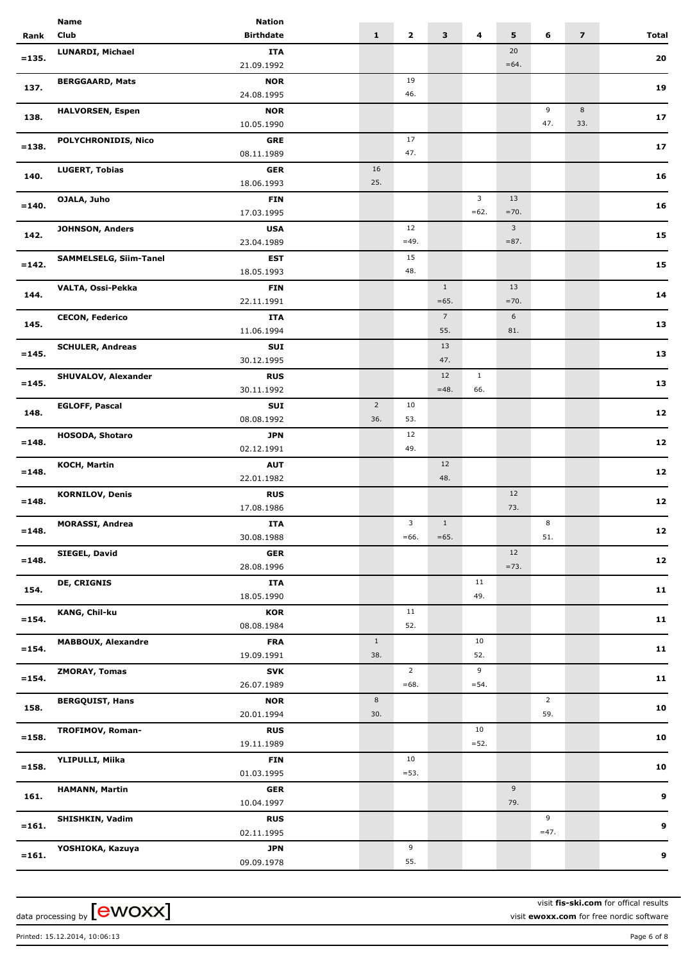|          | <b>Name</b>                | <b>Nation</b>            |                |                |                 |              |                    |                |                         |              |
|----------|----------------------------|--------------------------|----------------|----------------|-----------------|--------------|--------------------|----------------|-------------------------|--------------|
| Rank     | Club                       | <b>Birthdate</b>         | $\mathbf{1}$   | $\mathbf{2}$   | 3               | 4            | 5                  | 6              | $\overline{\mathbf{z}}$ | <b>Total</b> |
|          | <b>LUNARDI, Michael</b>    | <b>ITA</b>               |                |                |                 |              | 20                 |                |                         |              |
| $= 135.$ |                            | 21.09.1992               |                |                |                 |              | $=64.$             |                |                         | 20           |
|          | <b>BERGGAARD, Mats</b>     | <b>NOR</b>               |                | 19             |                 |              |                    |                |                         |              |
| 137.     |                            | 24.08.1995               |                | 46.            |                 |              |                    |                |                         | 19           |
|          | <b>HALVORSEN, Espen</b>    | <b>NOR</b>               |                |                |                 |              |                    | 9              | 8                       |              |
| 138.     |                            | 10.05.1990               |                |                |                 |              |                    | 47.            | 33.                     | 17           |
|          | <b>POLYCHRONIDIS, Nico</b> |                          |                | 17             |                 |              |                    |                |                         |              |
| $= 138.$ |                            | <b>GRE</b><br>08.11.1989 |                | 47.            |                 |              |                    |                |                         | 17           |
|          |                            |                          |                |                |                 |              |                    |                |                         |              |
| 140.     | <b>LUGERT, Tobias</b>      | <b>GER</b>               | 16<br>25.      |                |                 |              |                    |                |                         | 16           |
|          |                            | 18.06.1993               |                |                |                 |              |                    |                |                         |              |
| $= 140.$ | OJALA, Juho                | <b>FIN</b>               |                |                |                 | 3            | 13                 |                |                         | 16           |
|          |                            | 17.03.1995               |                |                |                 | $=62.$       | $=70.$             |                |                         |              |
| 142.     | <b>JOHNSON, Anders</b>     | <b>USA</b>               |                | 12             |                 |              | 3 <sup>7</sup>     |                |                         | 15           |
|          |                            | 23.04.1989               |                | $=49.$         |                 |              | $= 87.$            |                |                         |              |
| $= 142.$ | SAMMELSELG, Siim-Tanel     | <b>EST</b>               |                | 15             |                 |              |                    |                |                         | 15           |
|          |                            | 18.05.1993               |                | 48.            |                 |              |                    |                |                         |              |
| 144.     | VALTA, Ossi-Pekka          | <b>FIN</b>               |                |                | $\mathbf{1}$    |              | 13                 |                |                         | 14           |
|          |                            | 22.11.1991               |                |                | $=65.$          |              | $=70.$             |                |                         |              |
| 145.     | <b>CECON, Federico</b>     | <b>ITA</b>               |                |                | $7\overline{ }$ |              | 6                  |                |                         | 13           |
|          |                            | 11.06.1994               |                |                | 55.             |              | 81.                |                |                         |              |
| $= 145.$ | <b>SCHULER, Andreas</b>    | SUI                      |                |                | 13              |              |                    |                |                         | 13           |
|          |                            | 30.12.1995               |                |                | 47.             |              |                    |                |                         |              |
| $= 145.$ | <b>SHUVALOV, Alexander</b> | <b>RUS</b>               |                |                | 12              | $\mathbf{1}$ |                    |                |                         | 13           |
|          |                            | 30.11.1992               |                |                | $=48.$          | 66.          |                    |                |                         |              |
|          | <b>EGLOFF, Pascal</b>      | SUI                      | $\overline{2}$ | 10             |                 |              |                    |                |                         |              |
| 148.     |                            | 08.08.1992               | 36.            | 53.            |                 |              |                    |                |                         | ${\bf 12}$   |
|          | <b>HOSODA, Shotaro</b>     | <b>JPN</b>               |                | 12             |                 |              |                    |                |                         |              |
| $= 148.$ |                            | 02.12.1991               |                | 49.            |                 |              |                    |                |                         | 12           |
|          | <b>KOCH, Martin</b>        | <b>AUT</b>               |                |                | 12              |              |                    |                |                         |              |
| $= 148.$ |                            | 22.01.1982               |                |                | 48.             |              |                    |                |                         | 12           |
|          | <b>KORNILOV, Denis</b>     | <b>RUS</b>               |                |                |                 |              | 12                 |                |                         |              |
| $= 148.$ |                            | 17.08.1986               |                |                |                 |              | 73.                |                |                         | 12           |
|          | <b>MORASSI, Andrea</b>     | ITA                      |                | 3              | $\mathbf{1}$    |              |                    | 8              |                         |              |
| $= 148.$ |                            | 30.08.1988               |                | $=66.$         | $=65.$          |              |                    | 51.            |                         | 12           |
|          | SIEGEL, David              | <b>GER</b>               |                |                |                 |              | 12                 |                |                         |              |
| $= 148.$ |                            | 28.08.1996               |                |                |                 |              | $=73.$             |                |                         | $12$         |
|          | <b>DE, CRIGNIS</b>         | <b>ITA</b>               |                |                |                 | 11           |                    |                |                         |              |
| 154.     |                            | 18.05.1990               |                |                |                 | 49.          |                    |                |                         | 11           |
|          | KANG, Chil-ku              | <b>KOR</b>               |                | 11             |                 |              |                    |                |                         |              |
| $= 154.$ |                            | 08.08.1984               |                | 52.            |                 |              |                    |                |                         | 11           |
|          | <b>MABBOUX, Alexandre</b>  | <b>FRA</b>               | $\mathbf{1}$   |                |                 | 10           |                    |                |                         |              |
| $= 154.$ |                            | 19.09.1991               | 38.            |                |                 | 52.          |                    |                |                         | 11           |
|          | <b>ZMORAY, Tomas</b>       | <b>SVK</b>               |                | $\overline{2}$ |                 | 9            |                    |                |                         |              |
| $= 154.$ |                            | 26.07.1989               |                | $=68.$         |                 | $= 54.$      |                    |                |                         | 11           |
|          | <b>BERGQUIST, Hans</b>     | <b>NOR</b>               | 8              |                |                 |              |                    | $\overline{2}$ |                         |              |
| 158.     |                            | 20.01.1994               | 30.            |                |                 |              |                    | 59.            |                         | 10           |
|          | TROFIMOV, Roman-           | <b>RUS</b>               |                |                |                 | 10           |                    |                |                         |              |
| $= 158.$ |                            | 19.11.1989               |                |                |                 | $=52.$       |                    |                |                         | 10           |
|          |                            |                          |                | 10             |                 |              |                    |                |                         |              |
| $= 158.$ | YLIPULLI, Miika            | <b>FIN</b>               |                | $= 53.$        |                 |              |                    |                |                         | 10           |
|          |                            | 01.03.1995               |                |                |                 |              |                    |                |                         |              |
| 161.     | <b>HAMANN, Martin</b>      | <b>GER</b>               |                |                |                 |              | $\mathsf 9$<br>79. |                |                         | 9            |
|          |                            | 10.04.1997               |                |                |                 |              |                    |                |                         |              |
| $=161.$  | <b>SHISHKIN, Vadim</b>     | <b>RUS</b>               |                |                |                 |              |                    | 9              |                         | 9            |
|          |                            | 02.11.1995               |                |                |                 |              |                    | $=47.$         |                         |              |
| $=161.$  | YOSHIOKA, Kazuya           | <b>JPN</b>               |                | 9              |                 |              |                    |                |                         | 9            |
|          |                            | 09.09.1978               |                | 55.            |                 |              |                    |                |                         |              |

visit **fis-ski.com** for offical results visit **ewoxx.com** for free nordic software

Printed: 15.12.2014, 10:06:13 Page 6 of 8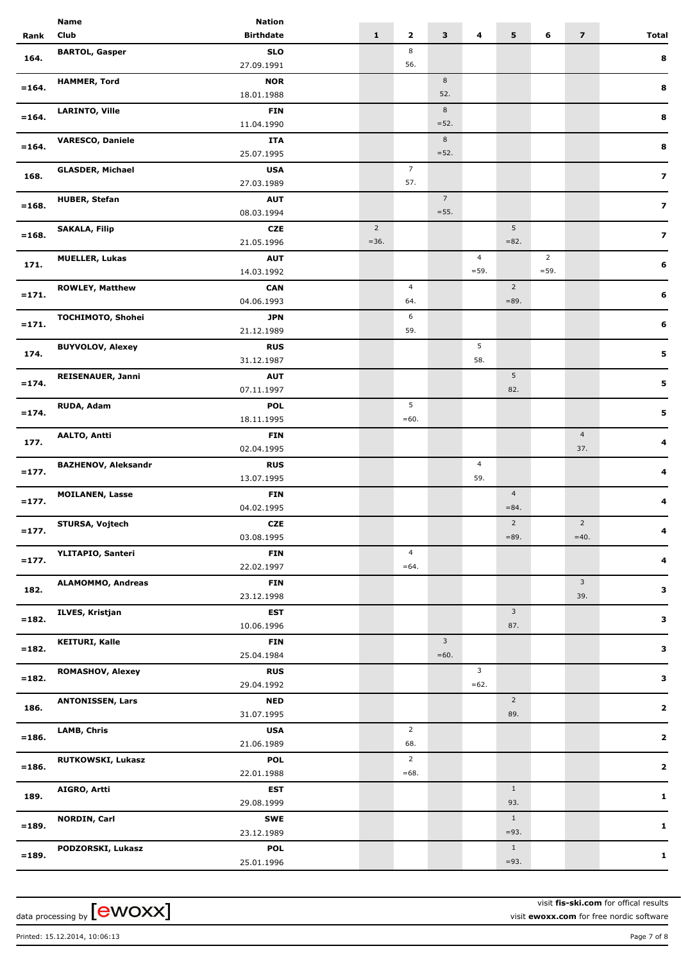|          | <b>Name</b>                | <b>Nation</b>    |                |                |                 |                |                |                |                         |                         |
|----------|----------------------------|------------------|----------------|----------------|-----------------|----------------|----------------|----------------|-------------------------|-------------------------|
| Rank     | Club                       | <b>Birthdate</b> | $\mathbf{1}$   | $\mathbf{z}$   | 3               | 4              | 5              | 6              | $\overline{\mathbf{z}}$ | <b>Total</b>            |
|          | <b>BARTOL, Gasper</b>      | <b>SLO</b>       |                | 8              |                 |                |                |                |                         |                         |
| 164.     |                            | 27.09.1991       |                | 56.            |                 |                |                |                |                         | 8                       |
|          | <b>HAMMER, Tord</b>        | <b>NOR</b>       |                |                | 8               |                |                |                |                         |                         |
| $= 164.$ |                            | 18.01.1988       |                |                | 52.             |                |                |                |                         | 8                       |
|          | <b>LARINTO, Ville</b>      | <b>FIN</b>       |                |                | 8               |                |                |                |                         |                         |
| $= 164.$ |                            | 11.04.1990       |                |                | $=52.$          |                |                |                |                         | 8                       |
|          |                            |                  |                |                |                 |                |                |                |                         |                         |
| $= 164.$ | <b>VARESCO, Daniele</b>    | <b>ITA</b>       |                |                | 8               |                |                |                |                         | 8                       |
|          |                            | 25.07.1995       |                |                | $=52.$          |                |                |                |                         |                         |
| 168.     | <b>GLASDER, Michael</b>    | <b>USA</b>       |                | $\overline{7}$ |                 |                |                |                |                         | $\overline{\mathbf{z}}$ |
|          |                            | 27.03.1989       |                | 57.            |                 |                |                |                |                         |                         |
| $= 168.$ | <b>HUBER, Stefan</b>       | <b>AUT</b>       |                |                | $7\overline{ }$ |                |                |                |                         | $\overline{\mathbf{z}}$ |
|          |                            | 08.03.1994       |                |                | $= 55.$         |                |                |                |                         |                         |
|          | <b>SAKALA, Filip</b>       | <b>CZE</b>       | $\overline{2}$ |                |                 |                | 5              |                |                         | $\overline{\mathbf{z}}$ |
| $=168.$  |                            | 21.05.1996       | $=36.$         |                |                 |                | $= 82.$        |                |                         |                         |
|          | <b>MUELLER, Lukas</b>      | <b>AUT</b>       |                |                |                 | $\overline{4}$ |                | $\overline{2}$ |                         |                         |
| 171.     |                            | 14.03.1992       |                |                |                 | $= 59.$        |                | $= 59.$        |                         | 6                       |
|          | <b>ROWLEY, Matthew</b>     | <b>CAN</b>       |                | $\overline{4}$ |                 |                | $\overline{2}$ |                |                         |                         |
| $= 171.$ |                            | 04.06.1993       |                | 64.            |                 |                | $= 89.$        |                |                         | 6                       |
|          | TOCHIMOTO, Shohei          | <b>JPN</b>       |                | 6              |                 |                |                |                |                         |                         |
| $= 171.$ |                            | 21.12.1989       |                | 59.            |                 |                |                |                |                         | 6                       |
|          |                            |                  |                |                |                 |                |                |                |                         |                         |
| 174.     | <b>BUYVOLOV, Alexey</b>    | <b>RUS</b>       |                |                |                 | 5              |                |                |                         | 5                       |
|          |                            | 31.12.1987       |                |                |                 | 58.            |                |                |                         |                         |
| $= 174.$ | <b>REISENAUER, Janni</b>   | <b>AUT</b>       |                |                |                 |                | $\overline{5}$ |                |                         | 5                       |
|          |                            | 07.11.1997       |                |                |                 |                | 82.            |                |                         |                         |
| $= 174.$ | RUDA, Adam                 | <b>POL</b>       |                | 5              |                 |                |                |                |                         | 5                       |
|          |                            | 18.11.1995       |                | $=60.$         |                 |                |                |                |                         |                         |
|          | <b>AALTO, Antti</b>        | <b>FIN</b>       |                |                |                 |                |                |                | $\overline{4}$          | 4                       |
| 177.     |                            | 02.04.1995       |                |                |                 |                |                |                | 37.                     |                         |
|          | <b>BAZHENOV, Aleksandr</b> | <b>RUS</b>       |                |                |                 | $\overline{4}$ |                |                |                         |                         |
| $=177.$  |                            | 13.07.1995       |                |                |                 | 59.            |                |                |                         | 4                       |
|          | <b>MOILANEN, Lasse</b>     | <b>FIN</b>       |                |                |                 |                | $\overline{4}$ |                |                         |                         |
| $=177.$  |                            | 04.02.1995       |                |                |                 |                | $= 84.$        |                |                         | 4                       |
|          | STURSA, Vojtech            | <b>CZE</b>       |                |                |                 |                | $\overline{2}$ |                | $\overline{2}$          |                         |
| $= 177.$ |                            | 03.08.1995       |                |                |                 |                | $= 89.$        |                | $=40.$                  |                         |
|          |                            |                  |                | $\overline{4}$ |                 |                |                |                |                         |                         |
| $= 177.$ | YLITAPIO, Santeri          | <b>FIN</b>       |                | $=64.$         |                 |                |                |                |                         | 4                       |
|          |                            | 22.02.1997       |                |                |                 |                |                |                |                         |                         |
| 182.     | <b>ALAMOMMO, Andreas</b>   | <b>FIN</b>       |                |                |                 |                |                |                | $\mathbf{3}$            | з                       |
|          |                            | 23.12.1998       |                |                |                 |                |                |                | 39.                     |                         |
| $= 182.$ | ILVES, Kristjan            | <b>EST</b>       |                |                |                 |                | $\mathbf{3}$   |                |                         | 3                       |
|          |                            | 10.06.1996       |                |                |                 |                | 87.            |                |                         |                         |
| $= 182.$ | <b>KEITURI, Kalle</b>      | <b>FIN</b>       |                |                | $\mathbf{3}$    |                |                |                |                         | 3                       |
|          |                            | 25.04.1984       |                |                | $=60.$          |                |                |                |                         |                         |
|          | <b>ROMASHOV, Alexey</b>    | <b>RUS</b>       |                |                |                 | $\mathbf{3}$   |                |                |                         |                         |
| $= 182.$ |                            | 29.04.1992       |                |                |                 | $=62.$         |                |                |                         | з                       |
|          | <b>ANTONISSEN, Lars</b>    | <b>NED</b>       |                |                |                 |                | $\overline{2}$ |                |                         |                         |
| 186.     |                            | 31.07.1995       |                |                |                 |                | 89.            |                |                         | $\mathbf{2}$            |
|          | <b>LAMB, Chris</b>         | <b>USA</b>       |                | $\overline{2}$ |                 |                |                |                |                         |                         |
| $= 186.$ |                            | 21.06.1989       |                | 68.            |                 |                |                |                |                         | $\mathbf{2}$            |
|          | <b>RUTKOWSKI, Lukasz</b>   | <b>POL</b>       |                | $\overline{2}$ |                 |                |                |                |                         |                         |
| $= 186.$ |                            | 22.01.1988       |                | $=68.$         |                 |                |                |                |                         | $\mathbf{2}$            |
|          |                            |                  |                |                |                 |                |                |                |                         |                         |
| 189.     | AIGRO, Artti               | EST              |                |                |                 |                | $\mathbf{1}$   |                |                         | 1                       |
|          |                            | 29.08.1999       |                |                |                 |                | 93.            |                |                         |                         |
| $=189.$  | <b>NORDIN, Carl</b>        | SWE              |                |                |                 |                | $\mathbf{1}$   |                |                         | 1                       |
|          |                            | 23.12.1989       |                |                |                 |                | $= 93.$        |                |                         |                         |
| $= 189.$ | PODZORSKI, Lukasz          | <b>POL</b>       |                |                |                 |                | $\mathbf{1}$   |                |                         | $\mathbf{1}$            |
|          |                            | 25.01.1996       |                |                |                 |                | $= 93.$        |                |                         |                         |
|          |                            |                  |                |                |                 |                |                |                |                         |                         |

visit **fis-ski.com** for offical results visit **ewoxx.com** for free nordic software

Printed: 15.12.2014, 10:06:13 Page 7 of 8